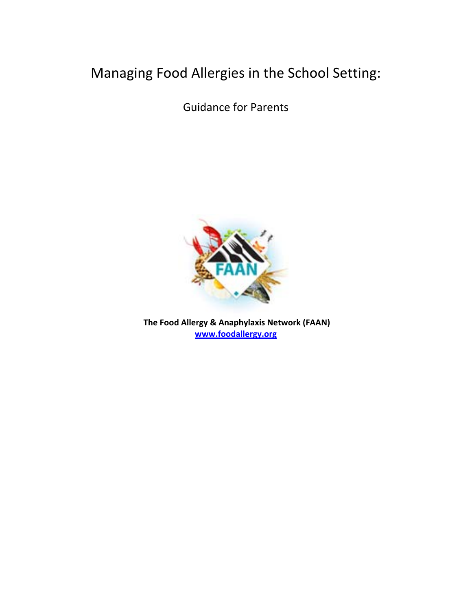# Managing Food Allergies in the School Setting:

Guidance for Parents



**The Food Allergy & Anaphylaxis Network (FAAN) www.foodallergy.org**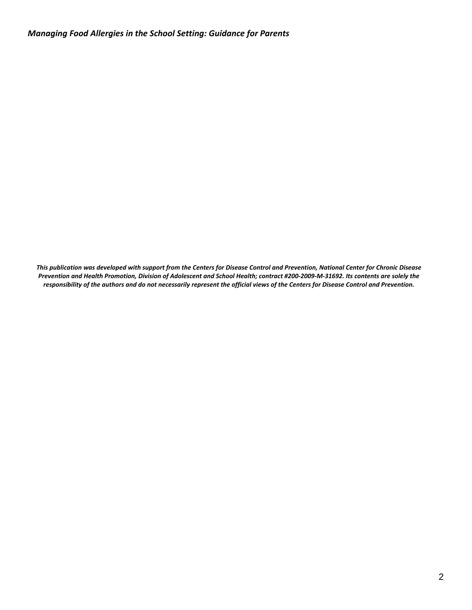This publication was developed with support from the Centers for Disease Control and Prevention, National Center for Chronic Disease Prevention and Health Promotion, Division of Adolescent and School Health; contract #200-2009-M-31692. Its contents are solely the responsibility of the authors and do not necessarily represent the official views of the Centers for Disease Control and Prevention.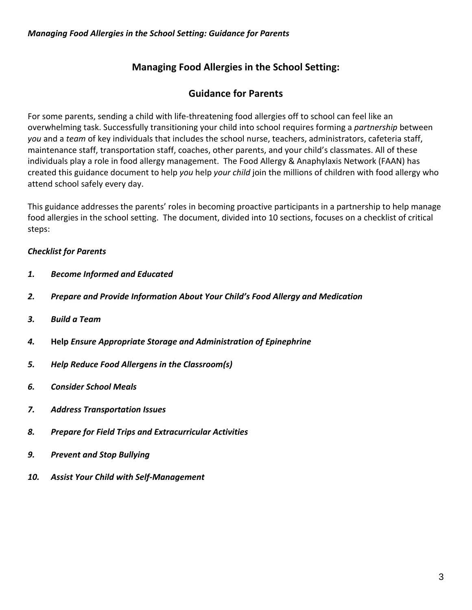# **Managing Food Allergies in the School Setting:**

### **Guidance for Parents**

For some parents, sending a child with life‐threatening food allergies off to school can feel like an overwhelming task. Successfully transitioning your child into school requires forming a *partnership* between *you* and a *team* of key individuals that includes the school nurse, teachers, administrators, cafeteria staff, maintenance staff, transportation staff, coaches, other parents, and your child's classmates. All of these individuals play a role in food allergy management. The Food Allergy & Anaphylaxis Network (FAAN) has created this guidance document to help *you* help *your child* join the millions of children with food allergy who attend school safely every day.

This guidance addresses the parents' roles in becoming proactive participants in a partnership to help manage food allergies in the school setting. The document, divided into 10 sections, focuses on a checklist of critical steps:

### *Checklist for Parents*

- *1. Become Informed and Educated*
- *2. Prepare and Provide Information About Your Child's Food Allergy and Medication*
- *3. Build a Team*
- *4.*  **Help** *Ensure Appropriate Storage and Administration of Epinephrine*
- *5. Help Reduce Food Allergens in the Classroom(s)*
- *6. Consider School Meals*
- *7. Address Transportation Issues*
- *8. Prepare for Field Trips and Extracurricular Activities*
- *9. Prevent and Stop Bullying*
- *10. Assist Your Child with Self‐Management*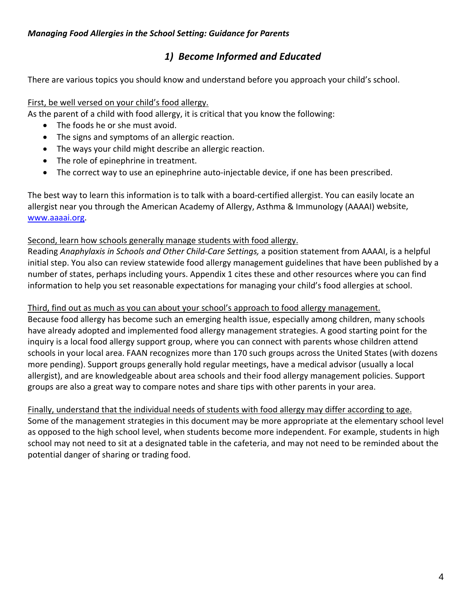# *1) Become Informed and Educated*

There are various topics you should know and understand before you approach your child's school.

### First, be well versed on your child's food allergy.

As the parent of a child with food allergy, it is critical that you know the following:

- The foods he or she must avoid.
- The signs and symptoms of an allergic reaction.
- The ways your child might describe an allergic reaction.
- The role of epinephrine in treatment.
- The correct way to use an epinephrine auto‐injectable device, if one has been prescribed.

The best way to learn this information is to talk with a board‐certified allergist. You can easily locate an allergist near you through the American Academy of Allergy, Asthma & Immunology (AAAAI) website, www.aaaai.org.

#### Second, learn how schools generally manage students with food allergy.

Reading *Anaphylaxis in Schools and Other Child‐Care Settings,* a position statement from AAAAI, is a helpful initial step. You also can review statewide food allergy management guidelines that have been published by a number of states, perhaps including yours. Appendix 1 cites these and other resources where you can find information to help you set reasonable expectations for managing your child's food allergies at school.

#### Third, find out as much as you can about your school's approach to food allergy management.

Because food allergy has become such an emerging health issue, especially among children, many schools have already adopted and implemented food allergy management strategies. A good starting point for the inquiry is a local food allergy support group, where you can connect with parents whose children attend schools in your local area. FAAN recognizes more than 170 such groups across the United States (with dozens more pending). Support groups generally hold regular meetings, have a medical advisor (usually a local allergist), and are knowledgeable about area schools and their food allergy management policies. Support groups are also a great way to compare notes and share tips with other parents in your area.

Finally, understand that the individual needs of students with food allergy may differ according to age. Some of the management strategies in this document may be more appropriate at the elementary school level as opposed to the high school level, when students become more independent. For example, students in high school may not need to sit at a designated table in the cafeteria, and may not need to be reminded about the potential danger of sharing or trading food.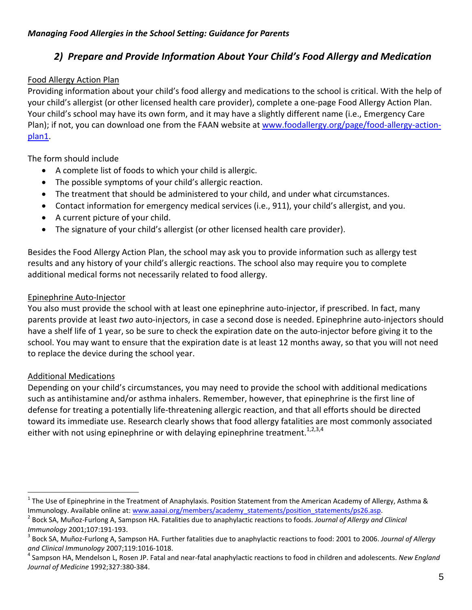# *2) Prepare and Provide Information About Your Child's Food Allergy and Medication*

### Food Allergy Action Plan

Providing information about your child's food allergy and medications to the school is critical. With the help of your child's allergist (or other licensed health care provider), complete a one‐page Food Allergy Action Plan. Your child's school may have its own form, and it may have a slightly different name (i.e., Emergency Care Plan); if not, you can download one from the FAAN website at www.foodallergy.org/page/food‐allergy‐action‐ plan1.

The form should include

- A complete list of foods to which your child is allergic.
- The possible symptoms of your child's allergic reaction.
- The treatment that should be administered to your child, and under what circumstances.
- Contact information for emergency medical services (i.e., 911), your child's allergist, and you.
- A current picture of your child.
- The signature of your child's allergist (or other licensed health care provider).

Besides the Food Allergy Action Plan, the school may ask you to provide information such as allergy test results and any history of your child's allergic reactions. The school also may require you to complete additional medical forms not necessarily related to food allergy.

### Epinephrine Auto‐Injector

You also must provide the school with at least one epinephrine auto-injector, if prescribed. In fact, many parents provide at least *two* auto‐injectors, in case a second dose is needed. Epinephrine auto‐injectors should have a shelf life of 1 year, so be sure to check the expiration date on the auto-injector before giving it to the school. You may want to ensure that the expiration date is at least 12 months away, so that you will not need to replace the device during the school year.

### Additional Medications

 $\overline{a}$ 

Depending on your child's circumstances, you may need to provide the school with additional medications such as antihistamine and/or asthma inhalers. Remember, however, that epinephrine is the first line of defense for treating a potentially life‐threatening allergic reaction, and that all efforts should be directed toward its immediate use. Research clearly shows that food allergy fatalities are most commonly associated either with not using epinephrine or with delaying epinephrine treatment.<sup>1,2,3,4</sup>

<sup>&</sup>lt;sup>1</sup> The Use of Epinephrine in the Treatment of Anaphylaxis. Position Statement from the American Academy of Allergy, Asthma &

Immunology. Available online at: www.aaaai.org/members/academy\_statements/position\_statements/ps26.asp.<br><sup>2</sup> Bock SA, Muñoz-Furlong A, Sampson HA. Fatalities due to anaphylactic reactions to foods. Journal of Allergy and Cl *Immunology* 2001;107:191-193.<br><sup>3</sup> Bock SA, Muñoz-Furlong A, Sampson HA. Further fatalities due to anaphylactic reactions to food: 2001 to 2006. *Journal of Allergy* 

*and Clinical Immunology* 2007;119:1016‐1018. <sup>4</sup> Sampson HA, Mendelson L, Rosen JP. Fatal and near‐fatal anaphylactic reactions to food in children and adolescents. *New England Journal of Medicine* 1992;327:380‐384.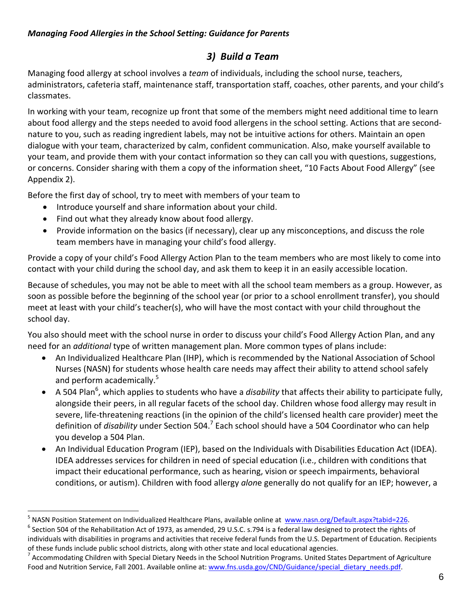# *3) Build a Team*

Managing food allergy at school involves a *team* of individuals, including the school nurse, teachers, administrators, cafeteria staff, maintenance staff, transportation staff, coaches, other parents, and your child's classmates.

In working with your team, recognize up front that some of the members might need additional time to learn about food allergy and the steps needed to avoid food allergens in the school setting. Actions that are second‐ nature to you, such as reading ingredient labels, may not be intuitive actions for others. Maintain an open dialogue with your team, characterized by calm, confident communication. Also, make yourself available to your team, and provide them with your contact information so they can call you with questions, suggestions, or concerns. Consider sharing with them a copy of the information sheet, "10 Facts About Food Allergy" (see Appendix 2).

Before the first day of school, try to meet with members of your team to

- Introduce yourself and share information about your child.
- Find out what they already know about food allergy.

 $\overline{a}$ 

 Provide information on the basics (if necessary), clear up any misconceptions, and discuss the role team members have in managing your child's food allergy.

Provide a copy of your child's Food Allergy Action Plan to the team members who are most likely to come into contact with your child during the school day, and ask them to keep it in an easily accessible location.

Because of schedules, you may not be able to meet with all the school team members as a group. However, as soon as possible before the beginning of the school year (or prior to a school enrollment transfer), you should meet at least with your child's teacher(s), who will have the most contact with your child throughout the school day.

You also should meet with the school nurse in order to discuss your child's Food Allergy Action Plan, and any need for an *additional* type of written management plan. More common types of plans include:

- An Individualized Healthcare Plan (IHP), which is recommended by the National Association of School Nurses (NASN) for students whose health care needs may affect their ability to attend school safely and perform academically.<sup>5</sup>
- A 504 Plan<sup>6</sup>, which applies to students who have a *disability* that affects their ability to participate fully, alongside their peers, in all regular facets of the school day. Children whose food allergy may result in severe, life-threatening reactions (in the opinion of the child's licensed health care provider) meet the definition of *disability* under Section 504.<sup>7</sup> Each school should have a 504 Coordinator who can help you develop a 504 Plan.
- An Individual Education Program (IEP), based on the Individuals with Disabilities Education Act (IDEA). IDEA addresses services for children in need of special education (i.e., children with conditions that impact their educational performance, such as hearing, vision or speech impairments, behavioral conditions, or autism). Children with food allergy *alon*e generally do not qualify for an IEP; however, a

<sup>&</sup>lt;sup>5</sup> NASN Position Statement on Individualized Healthcare Plans, available online at www.nasn.org/Default.aspx?tabid=226.<br><sup>6</sup> Section 504 of the Rehabilitation Act of 1973, as amended, 29 U.S.C. s.794 is a federal law desig

individuals with disabilities in programs and activities that receive federal funds from the U.S. Department of Education. Recipients

of these funds include public school districts, along with other state and local educational agencies.<br><sup>7</sup> Accommodating Children with Special Dietary Needs in the School Nutrition Programs. United States Department of Agr Food and Nutrition Service, Fall 2001. Available online at: www.fns.usda.gov/CND/Guidance/special\_dietary\_needs.pdf.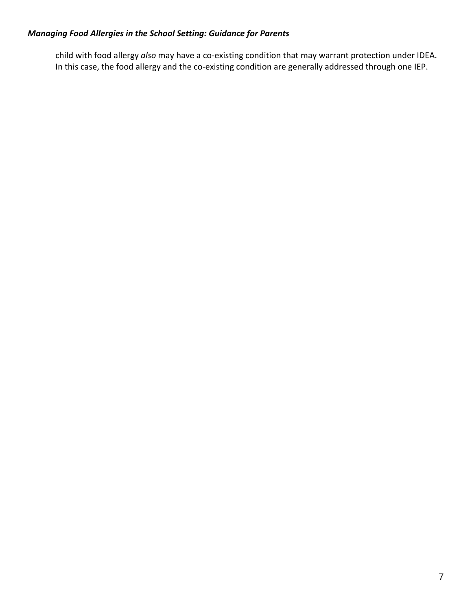child with food allergy *also* may have a co‐existing condition that may warrant protection under IDEA. In this case, the food allergy and the co-existing condition are generally addressed through one IEP.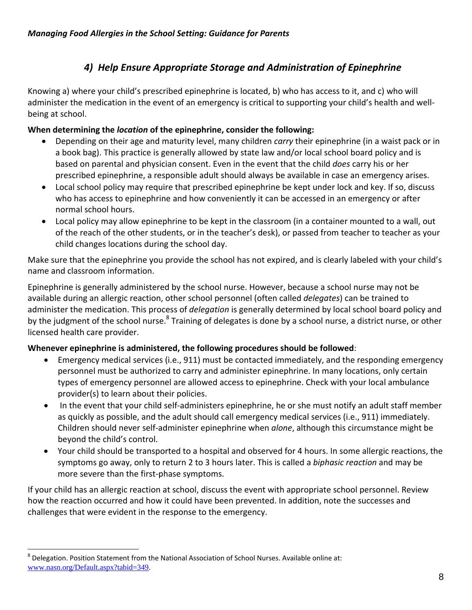# *4) Help Ensure Appropriate Storage and Administration of Epinephrine*

Knowing a) where your child's prescribed epinephrine is located, b) who has access to it, and c) who will administer the medication in the event of an emergency is critical to supporting your child's health and wellbeing at school.

### **When determining the** *location* **of the epinephrine, consider the following:**

- Depending on their age and maturity level, many children *carry* their epinephrine (in a waist pack or in a book bag). This practice is generally allowed by state law and/or local school board policy and is based on parental and physician consent. Even in the event that the child *does* carry his or her prescribed epinephrine, a responsible adult should always be available in case an emergency arises.
- Local school policy may require that prescribed epinephrine be kept under lock and key. If so, discuss who has access to epinephrine and how conveniently it can be accessed in an emergency or after normal school hours.
- Local policy may allow epinephrine to be kept in the classroom (in a container mounted to a wall, out of the reach of the other students, or in the teacher's desk), or passed from teacher to teacher as your child changes locations during the school day.

Make sure that the epinephrine you provide the school has not expired, and is clearly labeled with your child's name and classroom information.

Epinephrine is generally administered by the school nurse. However, because a school nurse may not be available during an allergic reaction, other school personnel (often called *delegates*) can be trained to administer the medication. This process of *delegation* is generally determined by local school board policy and by the judgment of the school nurse.<sup>8</sup> Training of delegates is done by a school nurse, a district nurse, or other licensed health care provider.

### **Whenever epinephrine is administered, the following procedures should be followed**:

- Emergency medical services (i.e., 911) must be contacted immediately, and the responding emergency personnel must be authorized to carry and administer epinephrine. In many locations, only certain types of emergency personnel are allowed access to epinephrine. Check with your local ambulance provider(s) to learn about their policies.
- In the event that your child self-administers epinephrine, he or she must notify an adult staff member as quickly as possible, and the adult should call emergency medical services (i.e., 911) immediately. Children should never self‐administer epinephrine when *alone*, although this circumstance might be beyond the child's control.
- Your child should be transported to a hospital and observed for 4 hours. In some allergic reactions, the symptoms go away, only to return 2 to 3 hours later. This is called a *biphasic reaction* and may be more severe than the first‐phase symptoms.

If your child has an allergic reaction at school, discuss the event with appropriate school personnel. Review how the reaction occurred and how it could have been prevented. In addition, note the successes and challenges that were evident in the response to the emergency.

 $\overline{a}$ 

 $8$  Delegation. Position Statement from the National Association of School Nurses. Available online at: www.nasn.org/Default.aspx?tabid=349.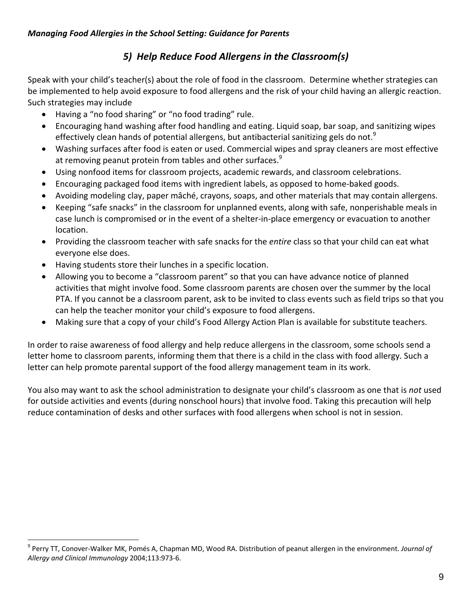# *5) Help Reduce Food Allergens in the Classroom(s)*

Speak with your child's teacher(s) about the role of food in the classroom. Determine whether strategies can be implemented to help avoid exposure to food allergens and the risk of your child having an allergic reaction. Such strategies may include

- Having a "no food sharing" or "no food trading" rule.
- Encouraging hand washing after food handling and eating. Liquid soap, bar soap, and sanitizing wipes effectively clean hands of potential allergens, but antibacterial sanitizing gels do not.<sup>9</sup>
- Washing surfaces after food is eaten or used. Commercial wipes and spray cleaners are most effective at removing peanut protein from tables and other surfaces.<sup>9</sup>
- Using nonfood items for classroom projects, academic rewards, and classroom celebrations.
- Encouraging packaged food items with ingredient labels, as opposed to home-baked goods.
- Avoiding modeling clay, paper mâché, crayons, soaps, and other materials that may contain allergens.
- Keeping "safe snacks" in the classroom for unplanned events, along with safe, nonperishable meals in case lunch is compromised or in the event of a shelter‐in‐place emergency or evacuation to another location.
- Providing the classroom teacher with safe snacks for the *entire* class so that your child can eat what everyone else does.
- Having students store their lunches in a specific location.

 $\overline{a}$ 

- Allowing you to become a "classroom parent" so that you can have advance notice of planned activities that might involve food. Some classroom parents are chosen over the summer by the local PTA. If you cannot be a classroom parent, ask to be invited to class events such as field trips so that you can help the teacher monitor your child's exposure to food allergens.
- Making sure that a copy of your child's Food Allergy Action Plan is available for substitute teachers.

In order to raise awareness of food allergy and help reduce allergens in the classroom, some schools send a letter home to classroom parents, informing them that there is a child in the class with food allergy. Such a letter can help promote parental support of the food allergy management team in its work.

You also may want to ask the school administration to designate your child's classroom as one that is *not* used for outside activities and events (during nonschool hours) that involve food. Taking this precaution will help reduce contamination of desks and other surfaces with food allergens when school is not in session.

<sup>9</sup> Perry TT, Conover‐Walker MK, Pomés A, Chapman MD, Wood RA. Distribution of peanut allergen in the environment. *Journal of Allergy and Clinical Immunology* 2004;113:973‐6.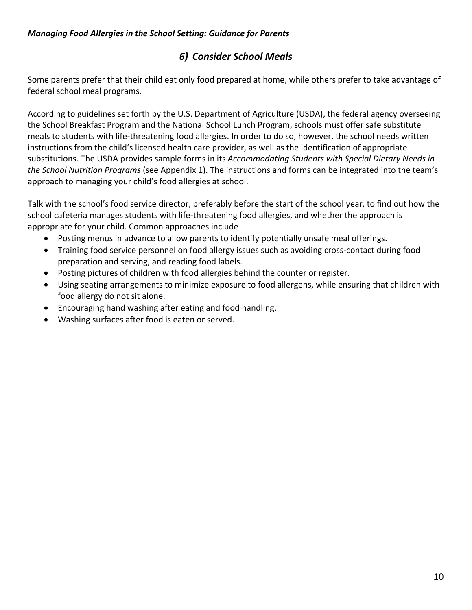# *6) Consider School Meals*

Some parents prefer that their child eat only food prepared at home, while others prefer to take advantage of federal school meal programs.

According to guidelines set forth by the U.S. Department of Agriculture (USDA), the federal agency overseeing the School Breakfast Program and the National School Lunch Program, schools must offer safe substitute meals to students with life‐threatening food allergies. In order to do so, however, the school needs written instructions from the child's licensed health care provider, as well as the identification of appropriate substitutions. The USDA provides sample forms in its *Accommodating Students with Special Dietary Needs in the School Nutrition Programs* (see Appendix 1). The instructions and forms can be integrated into the team's approach to managing your child's food allergies at school.

Talk with the school's food service director, preferably before the start of the school year, to find out how the school cafeteria manages students with life-threatening food allergies, and whether the approach is appropriate for your child. Common approaches include

- Posting menus in advance to allow parents to identify potentially unsafe meal offerings.
- Training food service personnel on food allergy issues such as avoiding cross-contact during food preparation and serving, and reading food labels.
- Posting pictures of children with food allergies behind the counter or register.
- Using seating arrangements to minimize exposure to food allergens, while ensuring that children with food allergy do not sit alone.
- Encouraging hand washing after eating and food handling.
- Washing surfaces after food is eaten or served.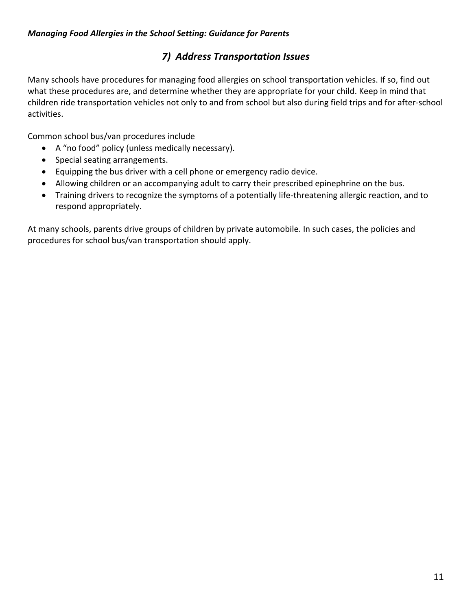# *7) Address Transportation Issues*

Many schools have procedures for managing food allergies on school transportation vehicles. If so, find out what these procedures are, and determine whether they are appropriate for your child. Keep in mind that children ride transportation vehicles not only to and from school but also during field trips and for after‐school activities.

Common school bus/van procedures include

- A "no food" policy (unless medically necessary).
- Special seating arrangements.
- Equipping the bus driver with a cell phone or emergency radio device.
- Allowing children or an accompanying adult to carry their prescribed epinephrine on the bus.
- Training drivers to recognize the symptoms of a potentially life‐threatening allergic reaction, and to respond appropriately.

At many schools, parents drive groups of children by private automobile. In such cases, the policies and procedures for school bus/van transportation should apply.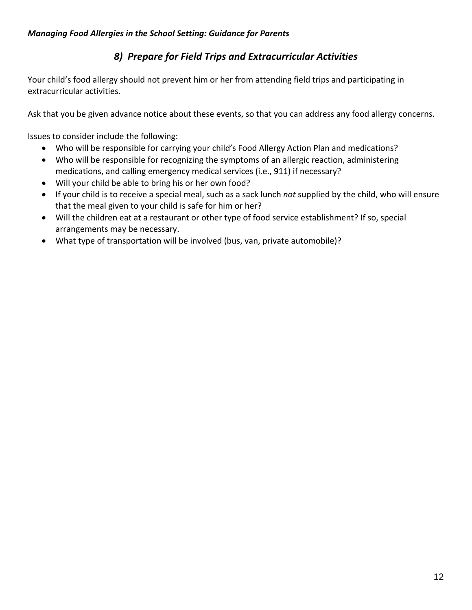# *8) Prepare for Field Trips and Extracurricular Activities*

Your child's food allergy should not prevent him or her from attending field trips and participating in extracurricular activities.

Ask that you be given advance notice about these events, so that you can address any food allergy concerns.

Issues to consider include the following:

- Who will be responsible for carrying your child's Food Allergy Action Plan and medications?
- Who will be responsible for recognizing the symptoms of an allergic reaction, administering medications, and calling emergency medical services (i.e., 911) if necessary?
- Will your child be able to bring his or her own food?
- If your child is to receive a special meal, such as a sack lunch *not* supplied by the child, who will ensure that the meal given to your child is safe for him or her?
- Will the children eat at a restaurant or other type of food service establishment? If so, special arrangements may be necessary.
- What type of transportation will be involved (bus, van, private automobile)?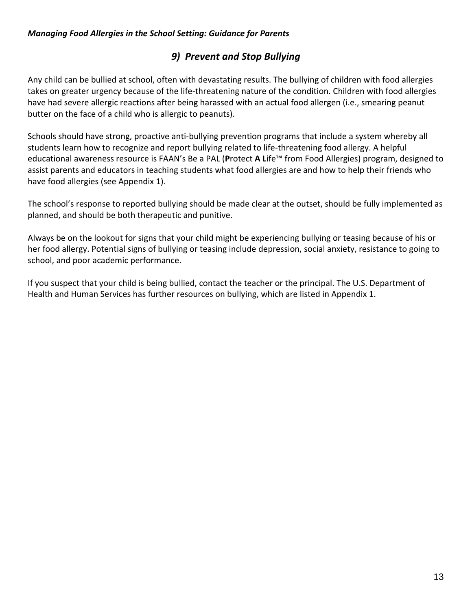# *9) Prevent and Stop Bullying*

Any child can be bullied at school, often with devastating results. The bullying of children with food allergies takes on greater urgency because of the life‐threatening nature of the condition. Children with food allergies have had severe allergic reactions after being harassed with an actual food allergen (i.e., smearing peanut butter on the face of a child who is allergic to peanuts).

Schools should have strong, proactive anti-bullying prevention programs that include a system whereby all students learn how to recognize and report bullying related to life‐threatening food allergy. A helpful educational awareness resource is FAAN's Be a PAL (**P**rotect **A L**ife™ from Food Allergies) program, designed to assist parents and educators in teaching students what food allergies are and how to help their friends who have food allergies (see Appendix 1).

The school's response to reported bullying should be made clear at the outset, should be fully implemented as planned, and should be both therapeutic and punitive.

Always be on the lookout for signs that your child might be experiencing bullying or teasing because of his or her food allergy. Potential signs of bullying or teasing include depression, social anxiety, resistance to going to school, and poor academic performance.

If you suspect that your child is being bullied, contact the teacher or the principal. The U.S. Department of Health and Human Services has further resources on bullying, which are listed in Appendix 1.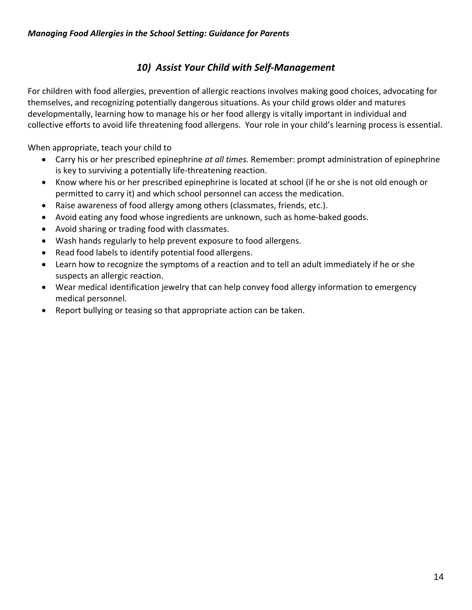# *10) Assist Your Child with Self‐Management*

For children with food allergies, prevention of allergic reactions involves making good choices, advocating for themselves, and recognizing potentially dangerous situations. As your child grows older and matures developmentally, learning how to manage his or her food allergy is vitally important in individual and collective efforts to avoid life threatening food allergens. Your role in your child's learning process is essential.

When appropriate, teach your child to

- Carry his or her prescribed epinephrine *at all times.* Remember: prompt administration of epinephrine is key to surviving a potentially life‐threatening reaction.
- Know where his or her prescribed epinephrine is located at school (if he or she is not old enough or permitted to carry it) and which school personnel can access the medication.
- Raise awareness of food allergy among others (classmates, friends, etc.).
- Avoid eating any food whose ingredients are unknown, such as home‐baked goods.
- Avoid sharing or trading food with classmates.
- Wash hands regularly to help prevent exposure to food allergens.
- Read food labels to identify potential food allergens.
- Learn how to recognize the symptoms of a reaction and to tell an adult immediately if he or she suspects an allergic reaction.
- Wear medical identification jewelry that can help convey food allergy information to emergency medical personnel.
- Report bullying or teasing so that appropriate action can be taken.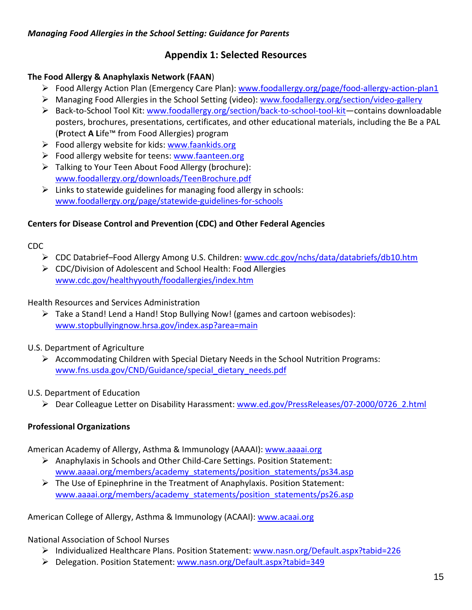### **Appendix 1: Selected Resources**

### **The Food Allergy & Anaphylaxis Network (FAAN**)

- Food Allergy Action Plan (Emergency Care Plan): www.foodallergy.org/page/food‐allergy‐action‐plan1
- Managing Food Allergies in the School Setting (video): www.foodallergy.org/section/video‐gallery
- Back‐to‐School Tool Kit: www.foodallergy.org/section/back‐to‐school‐tool‐kit―contains downloadable posters, brochures, presentations, certificates, and other educational materials, including the Be a PAL (**P**rotect **A L**ife™ from Food Allergies) program
- $\triangleright$  Food allergy website for kids: www.faankids.org
- $\triangleright$  Food allergy website for teens: www.faanteen.org
- $\triangleright$  Talking to Your Teen About Food Allergy (brochure): www.foodallergy.org/downloads/TeenBrochure.pdf
- $\triangleright$  Links to statewide guidelines for managing food allergy in schools: www.foodallergy.org/page/statewide‐guidelines‐for‐schools

### **Centers for Disease Control and Prevention (CDC) and Other Federal Agencies**

### CDC

- ▶ CDC Databrief-Food Allergy Among U.S. Children: www.cdc.gov/nchs/data/databriefs/db10.htm
- CDC/Division of Adolescent and School Health: Food Allergies www.cdc.gov/healthyyouth/foodallergies/index.htm

### Health Resources and Services Administration

 $\triangleright$  Take a Stand! Lend a Hand! Stop Bullying Now! (games and cartoon webisodes): www.stopbullyingnow.hrsa.gov/index.asp?area=main

### U.S. Department of Agriculture

 $\triangleright$  Accommodating Children with Special Dietary Needs in the School Nutrition Programs: www.fns.usda.gov/CND/Guidance/special\_dietary\_needs.pdf

### U.S. Department of Education

Dear Colleague Letter on Disability Harassment: www.ed.gov/PressReleases/07‐2000/0726\_2.html

### **Professional Organizations**

American Academy of Allergy, Asthma & Immunology (AAAAI): www.aaaai.org

- Anaphylaxis in Schools and Other Child‐Care Settings. Position Statement: www.aaaai.org/members/academy\_statements/position\_statements/ps34.asp
- $\triangleright$  The Use of Epinephrine in the Treatment of Anaphylaxis. Position Statement: www.aaaai.org/members/academy\_statements/position\_statements/ps26.asp

American College of Allergy, Asthma & Immunology (ACAAI): www.acaai.org

### National Association of School Nurses

- Individualized Healthcare Plans. Position Statement: www.nasn.org/Default.aspx?tabid=226
- Delegation. Position Statement: www.nasn.org/Default.aspx?tabid=349